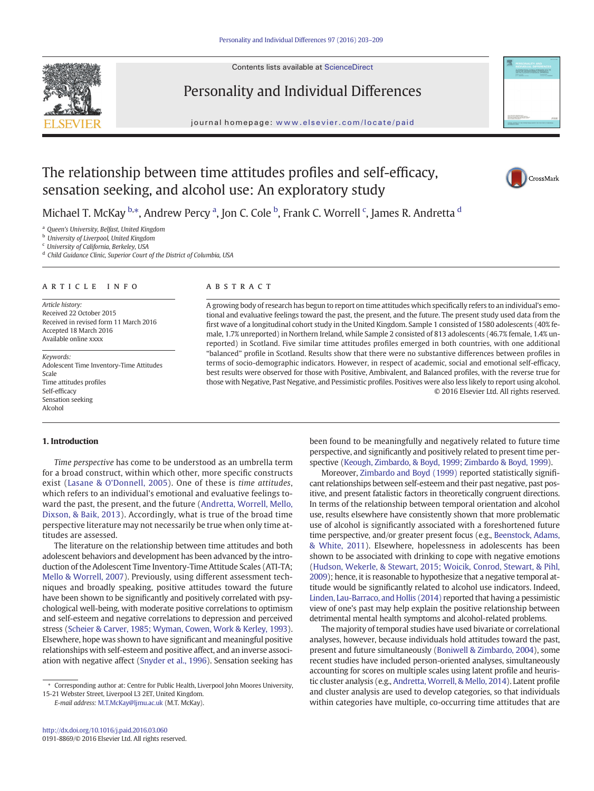Contents lists available at [ScienceDirect](http://www.sciencedirect.com/science/journal/)



## Personality and Individual Differences

journal homepage: <www.elsevier.com/locate/paid>



# The relationship between time attitudes profiles and self-efficacy, sensation seeking, and alcohol use: An exploratory study



Michael T. McKay <sup>b,</sup>\*, Andrew Percy <sup>a</sup>, Jon C. Cole <sup>b</sup>, Frank C. Worrell <sup>c</sup>, James R. Andretta <sup>d</sup>

<sup>a</sup> Queen's University, Belfast, United Kingdom

**b** University of Liverpool, United Kingdom

<sup>c</sup> University of California, Berkeley, USA

<sup>d</sup> Child Guidance Clinic, Superior Court of the District of Columbia, USA

#### article info abstract

Article history: Received 22 October 2015 Received in revised form 11 March 2016 Accepted 18 March 2016 Available online xxxx

Keywords: Adolescent Time Inventory-Time Attitudes Scale Time attitudes profiles Self-efficacy Sensation seeking Alcohol

#### 1. Introduction

Time perspective has come to be understood as an umbrella term for a broad construct, within which other, more specific constructs exist ([Lasane & O'Donnell, 2005](#page--1-0)). One of these is time attitudes, which refers to an individual's emotional and evaluative feelings toward the past, the present, and the future ([Andretta, Worrell, Mello,](#page--1-0) [Dixson, & Baik, 2013\)](#page--1-0). Accordingly, what is true of the broad time perspective literature may not necessarily be true when only time attitudes are assessed.

The literature on the relationship between time attitudes and both adolescent behaviors and development has been advanced by the introduction of the Adolescent Time Inventory-Time Attitude Scales (ATI-TA; [Mello & Worrell, 2007](#page--1-0)). Previously, using different assessment techniques and broadly speaking, positive attitudes toward the future have been shown to be significantly and positively correlated with psychological well-being, with moderate positive correlations to optimism and self-esteem and negative correlations to depression and perceived stress [\(Scheier & Carver, 1985; Wyman, Cowen, Work & Kerley, 1993](#page--1-0)). Elsewhere, hope was shown to have significant and meaningful positive relationships with self-esteem and positive affect, and an inverse association with negative affect [\(Snyder et al., 1996](#page--1-0)). Sensation seeking has

E-mail address: [M.T.McKay@ljmu.ac.uk](mailto:M.T.McKay@ljmu.ac.uk) (M.T. McKay).

A growing body of research has begun to report on time attitudes which specifically refers to an individual's emotional and evaluative feelings toward the past, the present, and the future. The present study used data from the first wave of a longitudinal cohort study in the United Kingdom. Sample 1 consisted of 1580 adolescents (40% female, 1.7% unreported) in Northern Ireland, while Sample 2 consisted of 813 adolescents (46.7% female, 1.4% unreported) in Scotland. Five similar time attitudes profiles emerged in both countries, with one additional "balanced" profile in Scotland. Results show that there were no substantive differences between profiles in terms of socio-demographic indicators. However, in respect of academic, social and emotional self-efficacy, best results were observed for those with Positive, Ambivalent, and Balanced profiles, with the reverse true for those with Negative, Past Negative, and Pessimistic profiles. Positives were also less likely to report using alcohol. © 2016 Elsevier Ltd. All rights reserved.

> been found to be meaningfully and negatively related to future time perspective, and significantly and positively related to present time perspective [\(Keough, Zimbardo, & Boyd, 1999; Zimbardo & Boyd, 1999](#page--1-0)).

> Moreover, [Zimbardo and Boyd \(1999\)](#page--1-0) reported statistically significant relationships between self-esteem and their past negative, past positive, and present fatalistic factors in theoretically congruent directions. In terms of the relationship between temporal orientation and alcohol use, results elsewhere have consistently shown that more problematic use of alcohol is significantly associated with a foreshortened future time perspective, and/or greater present focus (e.g., [Beenstock, Adams,](#page--1-0) [& White, 2011](#page--1-0)). Elsewhere, hopelessness in adolescents has been shown to be associated with drinking to cope with negative emotions [\(Hudson, Wekerle, & Stewart, 2015; Woicik, Conrod, Stewart, & Pihl,](#page--1-0) [2009](#page--1-0)); hence, it is reasonable to hypothesize that a negative temporal attitude would be significantly related to alcohol use indicators. Indeed, [Linden, Lau-Barraco, and Hollis \(2014\)](#page--1-0) reported that having a pessimistic view of one's past may help explain the positive relationship between detrimental mental health symptoms and alcohol-related problems.

> The majority of temporal studies have used bivariate or correlational analyses, however, because individuals hold attitudes toward the past, present and future simultaneously [\(Boniwell & Zimbardo, 2004](#page--1-0)), some recent studies have included person-oriented analyses, simultaneously accounting for scores on multiple scales using latent profile and heuristic cluster analysis (e.g., [Andretta, Worrell, & Mello, 2014\)](#page--1-0). Latent profile and cluster analysis are used to develop categories, so that individuals within categories have multiple, co-occurring time attitudes that are

<sup>⁎</sup> Corresponding author at: Centre for Public Health, Liverpool John Moores University, 15-21 Webster Street, Liverpool L3 2ET, United Kingdom.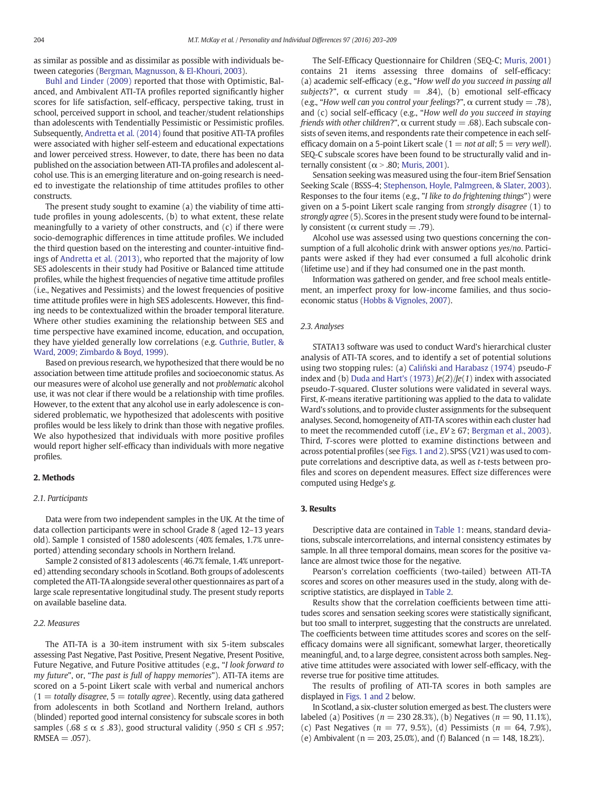as similar as possible and as dissimilar as possible with individuals between categories ([Bergman, Magnusson, & El-Khouri, 2003\)](#page--1-0).

[Buhl and Linder \(2009\)](#page--1-0) reported that those with Optimistic, Balanced, and Ambivalent ATI-TA profiles reported significantly higher scores for life satisfaction, self-efficacy, perspective taking, trust in school, perceived support in school, and teacher/student relationships than adolescents with Tendentially Pessimistic or Pessimistic profiles. Subsequently, [Andretta et al. \(2014\)](#page--1-0) found that positive ATI-TA profiles were associated with higher self-esteem and educational expectations and lower perceived stress. However, to date, there has been no data published on the association between ATI-TA profiles and adolescent alcohol use. This is an emerging literature and on-going research is needed to investigate the relationship of time attitudes profiles to other constructs.

The present study sought to examine (a) the viability of time attitude profiles in young adolescents, (b) to what extent, these relate meaningfully to a variety of other constructs, and (c) if there were socio-demographic differences in time attitude profiles. We included the third question based on the interesting and counter-intuitive findings of [Andretta et al. \(2013\)](#page--1-0), who reported that the majority of low SES adolescents in their study had Positive or Balanced time attitude profiles, while the highest frequencies of negative time attitude profiles (i.e., Negatives and Pessimists) and the lowest frequencies of positive time attitude profiles were in high SES adolescents. However, this finding needs to be contextualized within the broader temporal literature. Where other studies examining the relationship between SES and time perspective have examined income, education, and occupation, they have yielded generally low correlations (e.g. [Guthrie, Butler, &](#page--1-0) [Ward, 2009; Zimbardo & Boyd, 1999\)](#page--1-0).

Based on previous research, we hypothesized that there would be no association between time attitude profiles and socioeconomic status. As our measures were of alcohol use generally and not problematic alcohol use, it was not clear if there would be a relationship with time profiles. However, to the extent that any alcohol use in early adolescence is considered problematic, we hypothesized that adolescents with positive profiles would be less likely to drink than those with negative profiles. We also hypothesized that individuals with more positive profiles would report higher self-efficacy than individuals with more negative profiles.

#### 2. Methods

#### 2.1. Participants

Data were from two independent samples in the UK. At the time of data collection participants were in school Grade 8 (aged 12–13 years old). Sample 1 consisted of 1580 adolescents (40% females, 1.7% unreported) attending secondary schools in Northern Ireland.

Sample 2 consisted of 813 adolescents (46.7% female, 1.4% unreported) attending secondary schools in Scotland. Both groups of adolescents completed the ATI-TA alongside several other questionnaires as part of a large scale representative longitudinal study. The present study reports on available baseline data.

#### 2.2. Measures

The ATI-TA is a 30-item instrument with six 5-item subscales assessing Past Negative, Past Positive, Present Negative, Present Positive, Future Negative, and Future Positive attitudes (e.g., "I look forward to my future", or, "The past is full of happy memories"). ATI-TA items are scored on a 5-point Likert scale with verbal and numerical anchors  $(1 = totally disagree, 5 = totally agree)$ . Recently, using data gathered from adolescents in both Scotland and Northern Ireland, authors (blinded) reported good internal consistency for subscale scores in both samples (.68 ≤  $\alpha$  ≤ .83), good structural validity (.950 ≤ CFI ≤ .957;  $RMSEA = .057$ ).

The Self-Efficacy Questionnaire for Children (SEQ-C; [Muris, 2001](#page--1-0)) contains 21 items assessing three domains of self-efficacy: (a) academic self-efficacy (e.g., "How well do you succeed in passing all subjects?",  $\alpha$  current study = .84), (b) emotional self-efficacy (e.g., "How well can you control your feelings?",  $\alpha$  current study = .78), and (c) social self-efficacy (e.g., "How well do you succeed in staying friends with other children?",  $\alpha$  current study = .68). Each subscale consists of seven items, and respondents rate their competence in each selfefficacy domain on a 5-point Likert scale ( $1 = not at all$ ;  $5 = very well$ ). SEQ-C subscale scores have been found to be structurally valid and internally consistent ( $\alpha$  > .80; [Muris, 2001](#page--1-0)).

Sensation seeking was measured using the four-item Brief Sensation Seeking Scale (BSSS-4; [Stephenson, Hoyle, Palmgreen, & Slater, 2003](#page--1-0)). Responses to the four items (e.g., "I like to do frightening things") were given on a 5-point Likert scale ranging from strongly disagree (1) to strongly agree (5). Scores in the present study were found to be internally consistent (α current study = .79).

Alcohol use was assessed using two questions concerning the consumption of a full alcoholic drink with answer options yes/no. Participants were asked if they had ever consumed a full alcoholic drink (lifetime use) and if they had consumed one in the past month.

Information was gathered on gender, and free school meals entitlement, an imperfect proxy for low-income families, and thus socioeconomic status ([Hobbs & Vignoles, 2007\)](#page--1-0).

#### 2.3. Analyses

STATA13 software was used to conduct Ward's hierarchical cluster analysis of ATI-TA scores, and to identify a set of potential solutions using two stopping rules: (a) Caliń[ski and Harabasz \(1974\)](#page--1-0) pseudo-F index and (b) [Duda and Hart's \(1973\)](#page--1-0)  $Je(2)/Je(1)$  index with associated pseudo-T-squared. Cluster solutions were validated in several ways. First, K-means iterative partitioning was applied to the data to validate Ward's solutions, and to provide cluster assignments for the subsequent analyses. Second, homogeneity of ATI-TA scores within each cluster had to meet the recommended cutoff (i.e.,  $EV \ge 67$ ; [Bergman et al., 2003](#page--1-0)). Third, T-scores were plotted to examine distinctions between and across potential profiles (see [Figs. 1 and 2\)](#page--1-0). SPSS (V21) was used to compute correlations and descriptive data, as well as t-tests between profiles and scores on dependent measures. Effect size differences were computed using Hedge's g.

### 3. Results

Descriptive data are contained in [Table 1:](#page--1-0) means, standard deviations, subscale intercorrelations, and internal consistency estimates by sample. In all three temporal domains, mean scores for the positive valance are almost twice those for the negative.

Pearson's correlation coefficients (two-tailed) between ATI-TA scores and scores on other measures used in the study, along with descriptive statistics, are displayed in [Table 2](#page--1-0).

Results show that the correlation coefficients between time attitudes scores and sensation seeking scores were statistically significant, but too small to interpret, suggesting that the constructs are unrelated. The coefficients between time attitudes scores and scores on the selfefficacy domains were all significant, somewhat larger, theoretically meaningful, and, to a large degree, consistent across both samples. Negative time attitudes were associated with lower self-efficacy, with the reverse true for positive time attitudes.

The results of profiling of ATI-TA scores in both samples are displayed in [Figs. 1 and 2](#page--1-0) below.

In Scotland, a six-cluster solution emerged as best. The clusters were labeled (a) Positives ( $n = 230 28.3$ %), (b) Negatives ( $n = 90, 11.1$ %), (c) Past Negatives ( $n = 77, 9.5\%$ ), (d) Pessimists ( $n = 64, 7.9\%$ ), (e) Ambivalent ( $n = 203, 25.0\%$ ), and (f) Balanced ( $n = 148, 18.2\%$ ).